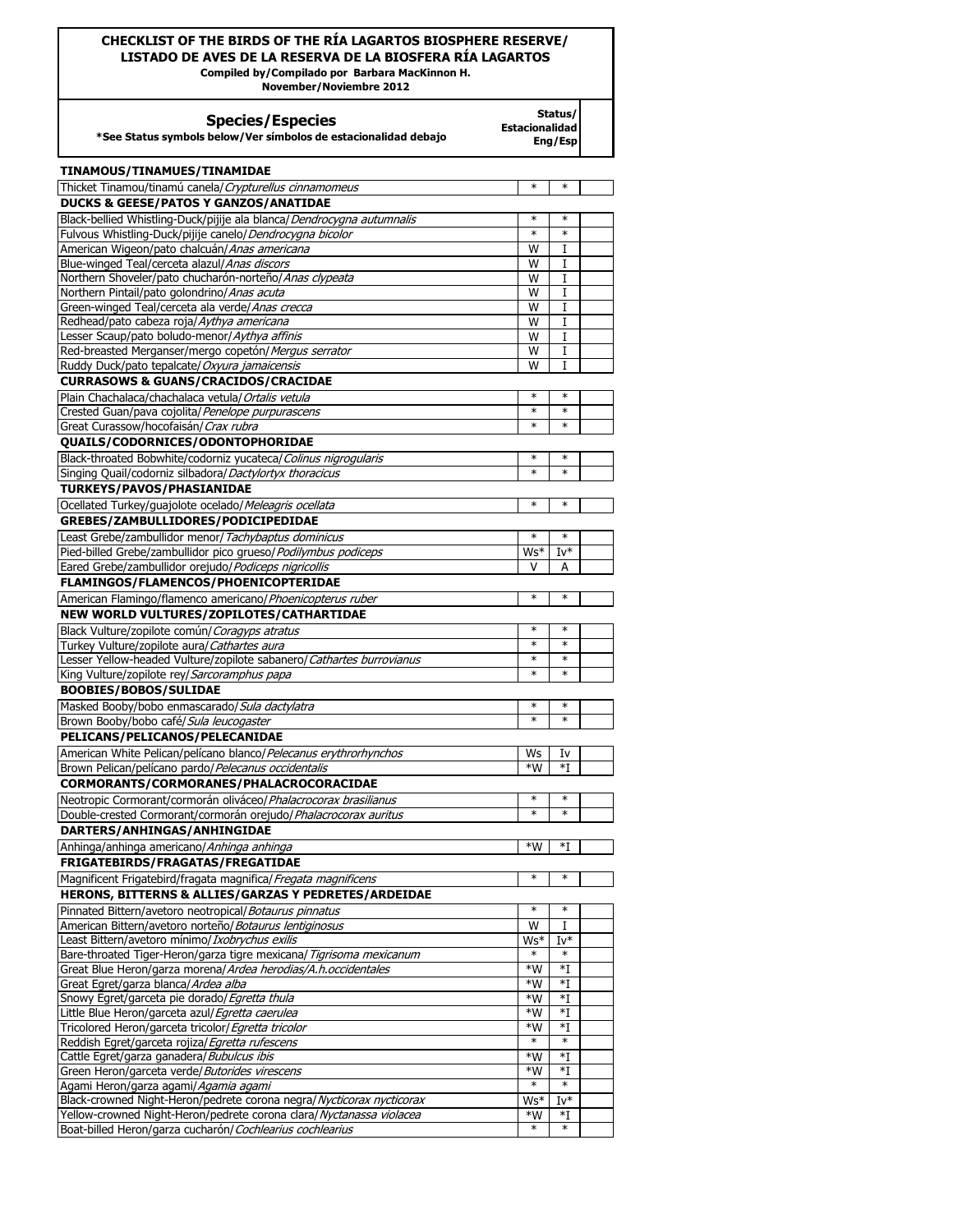## **CHECKLIST OF THE BIRDS OF THE RÍA LAGARTOS BIOSPHERE RESERVE/ LISTADO DE AVES DE LA RESERVA DE LA BIOSFERA RÍA LAGARTOS**

**Compiled by/Compilado por Barbara MacKinnon H.** 

**Status/ Estacionalidad Eng/Esp**

**November/Noviembre 2012**

## **Species/Especies**

**\*See Status symbols below/Ver símbolos de estacionalidad debajo** 

| <b>TINAMOUS/TINAMUES/TINAMIDAE</b>                                                   |             |                        |  |
|--------------------------------------------------------------------------------------|-------------|------------------------|--|
| Thicket Tinamou/tinamú canela/ Crypturellus cinnamomeus                              | $\ast$      | $\ast$                 |  |
| <b>DUCKS &amp; GEESE/PATOS Y GANZOS/ANATIDAE</b>                                     |             |                        |  |
| Black-bellied Whistling-Duck/pijije ala blanca/Dendrocygna autumnalis                | $\ast$      | $\ast$                 |  |
| Fulvous Whistling-Duck/pijije canelo/Dendrocygna bicolor                             | $\ast$      | $\ast$                 |  |
| American Wigeon/pato chalcuán/Anas americana                                         | W           | I                      |  |
| Blue-winged Teal/cerceta alazul/Anas discors                                         | W           | I                      |  |
| Northern Shoveler/pato chucharón-norteño/Anas clypeata                               | w           | I                      |  |
| Northern Pintail/pato golondrino/ Anas acuta                                         | W           | 1                      |  |
| Green-winged Teal/cerceta ala verde/ <i>Anas crecca</i>                              | W           | I                      |  |
| Redhead/pato cabeza roja/Aythya americana                                            | W           | I                      |  |
| Lesser Scaup/pato boludo-menor/ <i>Aythya affinis</i>                                | W           | 1                      |  |
| Red-breasted Merganser/mergo copetón/ Mergus serrator                                | W           | I                      |  |
| Ruddy Duck/pato tepalcate/ Oxyura jamaicensis                                        | w           | I                      |  |
| <b>CURRASOWS &amp; GUANS/CRACIDOS/CRACIDAE</b>                                       | $\ast$      | $\ast$                 |  |
| Plain Chachalaca/chachalaca vetula/ Ortalis vetula                                   | $\ast$      | $\ast$                 |  |
| Crested Guan/pava cojolita/ Penelope purpurascens                                    | $\ast$      | $\ast$                 |  |
| Great Curassow/hocofaisán/ Crax rubra                                                |             |                        |  |
| QUAILS/CODORNICES/ODONTOPHORIDAE                                                     |             | $\ast$                 |  |
| Black-throated Bobwhite/codorniz yucateca/Colinus nigrogularis                       | ∗<br>$\ast$ | $\ast$                 |  |
| Singing Quail/codorniz silbadora/Dactylortyx thoracicus                              |             |                        |  |
| <b>TURKEYS/PAVOS/PHASIANIDAE</b>                                                     |             |                        |  |
| Ocellated Turkey/guajolote ocelado/ Meleagris ocellata                               | $^\ast$     | $\ast$                 |  |
| GREBES/ZAMBULLIDORES/PODICIPEDIDAE                                                   |             |                        |  |
| Least Grebe/zambullidor menor/ Tachybaptus dominicus                                 | $\ast$      | $\ast$                 |  |
| Pied-billed Grebe/zambullidor pico grueso/ Podilymbus podiceps                       | Ws*         | $Iv^*$                 |  |
| Eared Grebe/zambullidor orejudo/Podiceps nigricollis                                 |             | А                      |  |
| FLAMINGOS/FLAMENCOS/PHOENICOPTERIDAE                                                 |             |                        |  |
| American Flamingo/flamenco americano/ Phoenicopterus ruber                           | $\ast$      | $\ast$                 |  |
| NEW WORLD VULTURES/ZOPILOTES/CATHARTIDAE                                             |             |                        |  |
| Black Vulture/zopilote común/ Coragyps atratus                                       | $\ast$      | $\ast$                 |  |
| Turkey Vulture/zopilote aura/ Cathartes aura                                         | $\ast$      | $\ast$                 |  |
| Lesser Yellow-headed Vulture/zopilote sabanero/ Cathartes burrovianus                | ∗<br>$\ast$ | $\ast$<br>$\ast$       |  |
| King Vulture/zopilote rey/Sarcoramphus papa                                          |             |                        |  |
| <b>BOOBIES/BOBOS/SULIDAE</b>                                                         |             |                        |  |
| Masked Booby/bobo enmascarado/ Sula dactylatra                                       | ∗<br>$\ast$ | $\ast$<br>$\ast$       |  |
| Brown Booby/bobo café/Sula leucogaster                                               |             |                        |  |
| PELICANS/PELICANOS/PELECANIDAE                                                       |             |                        |  |
| American White Pelican/pelícano blanco/Pelecanus erythrorhynchos                     | Ws          | I٧                     |  |
| Brown Pelican/pelícano pardo/ Pelecanus occidentalis                                 | *W          | *T                     |  |
| CORMORANTS/CORMORANES/PHALACROCORACIDAE                                              |             |                        |  |
| Neotropic Cormorant/cormorán oliváceo/ Phalacrocorax brasilianus                     | ∗<br>$\ast$ | $\ast$<br>$\ast$       |  |
| Double-crested Cormorant/cormorán orejudo/Phalacrocorax auritus                      |             |                        |  |
| DARTERS/ANHINGAS/ANHINGIDAE                                                          |             |                        |  |
| Anhinga/anhinga americano/ Anhinga anhinga                                           | *W          | *T                     |  |
| FRIGATEBIRDS/FRAGATAS/FREGATIDAE                                                     |             |                        |  |
| Magnificent Frigatebird/fragata magnifica/ Fregata magnificens                       | ∗           | $\ast$                 |  |
| HERONS, BITTERNS & ALLIES/GARZAS Y PEDRETES/ARDEIDAE                                 |             |                        |  |
| Pinnated Bittern/avetoro neotropical/Botaurus pinnatus                               |             | $\ast$                 |  |
| American Bittern/avetoro norteño/ Botaurus lentiginosus                              | W           | T                      |  |
| Least Bittern/avetoro mínimo/ Ixobrychus exilis                                      | Ws*         | $Iv^*$                 |  |
| Bare-throated Tiger-Heron/garza tigre mexicana/ Tigrisoma mexicanum                  |             |                        |  |
| Great Blue Heron/garza morena/Ardea herodias/A.h.occidentales                        | $*W$        | $*I$                   |  |
| Great Egret/garza blanca/Ardea alba<br>Snowy Egret/garceta pie dorado/ Egretta thula | *W<br>$*W$  | *I<br>$*_{\mathrm{I}}$ |  |
| Little Blue Heron/garceta azul/ Egretta caerulea                                     | *W          | $\ast$ I               |  |
| Tricolored Heron/garceta tricolor/ Egretta tricolor                                  | $*W$        | $*I$                   |  |
| Reddish Egret/garceta rojiza/Egretta rufescens                                       | $\ast$      | $\ast$                 |  |
| Cattle Egret/garza ganadera/ Bubulcus ibis                                           | *W          | $\ast$ I               |  |
| Green Heron/garceta verde/Butorides virescens                                        | *W          | *I                     |  |
| Agami Heron/garza agami/ <i>Agamia agami</i>                                         | $\ast$      | $\ast$                 |  |
| Black-crowned Night-Heron/pedrete corona negra/ Nycticorax nycticorax                | Ws*         | $Iv^*$                 |  |
| Yellow-crowned Night-Heron/pedrete corona clara/ Nyctanassa violacea                 | $*W$        | *I                     |  |
| Boat-billed Heron/garza cucharón/ Cochlearius cochlearius                            | $\ast$      | $\ast$                 |  |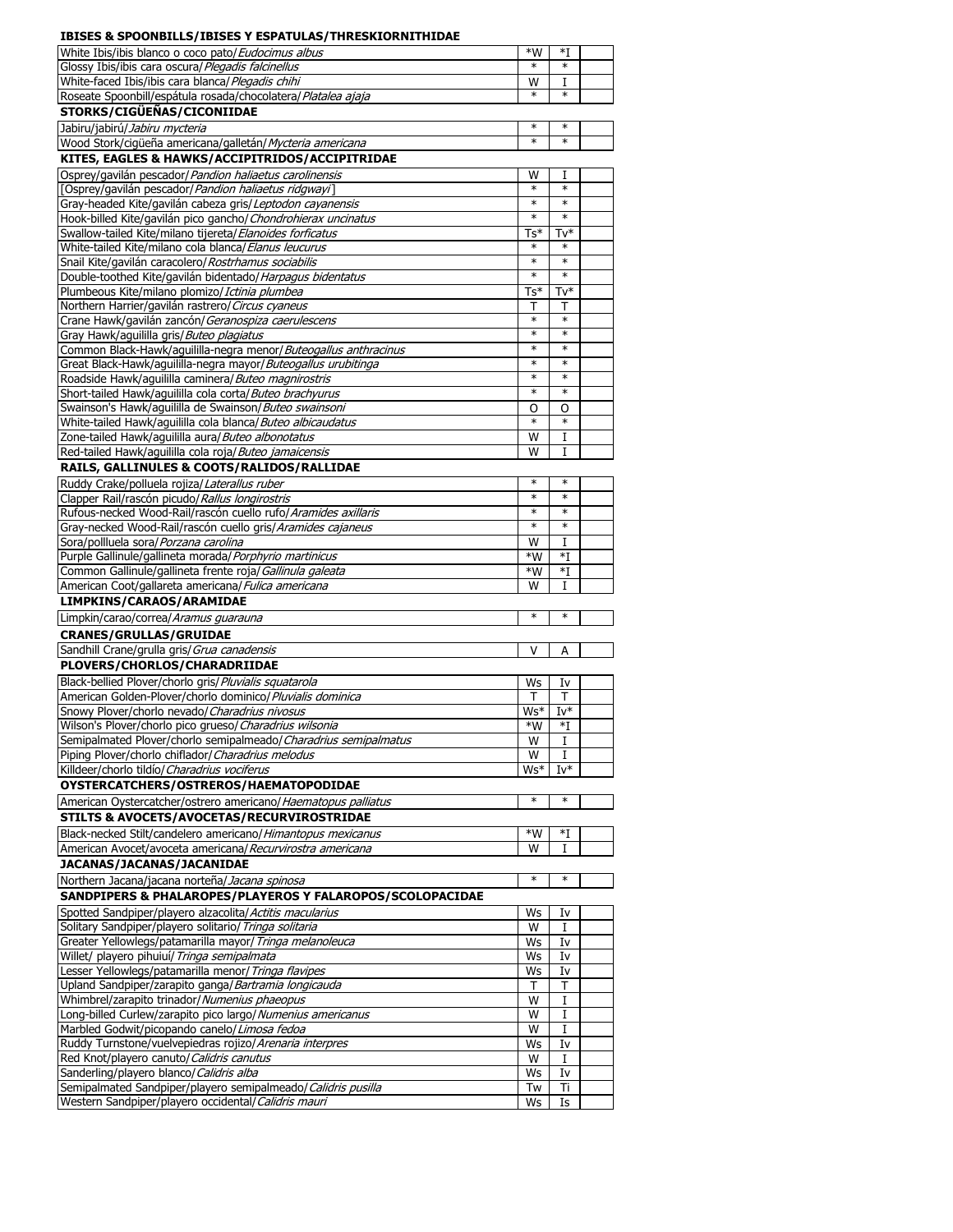| IDISES & SPOONDIEES/IDISES TESPATUEAS/TIINESNIOR                 |        |                  |  |
|------------------------------------------------------------------|--------|------------------|--|
| White Ibis/ibis blanco o coco pato/Eudocimus albus               | $*W$   | $*I$             |  |
| Glossy Ibis/ibis cara oscura/ Plegadis falcinellus               | $\ast$ | $\ast$           |  |
|                                                                  |        |                  |  |
| White-faced Ibis/ibis cara blanca/ Plegadis chihi                | W      | I                |  |
| Roseate Spoonbill/espátula rosada/chocolatera/ Platalea ajaja    | $\ast$ | $\ast$           |  |
|                                                                  |        |                  |  |
| STORKS/CIGÜEÑAS/CICONIIDAE                                       |        |                  |  |
| Jabiru/jabirú/Jabiru mycteria                                    | ∗      | $\ast$           |  |
|                                                                  | ∗      | $\ast$           |  |
| Wood Stork/cigüeña americana/galletán/ Mycteria americana        |        |                  |  |
| KITES, EAGLES & HAWKS/ACCIPITRIDOS/ACCIPITRIDAE                  |        |                  |  |
| Osprey/gavilán pescador/Pandion haliaetus carolinensis           | W      | I                |  |
|                                                                  |        |                  |  |
| [Osprey/gavilán pescador/ <i>Pandion haliaetus ridgwayi</i> ]    | $\ast$ | $\ast$           |  |
| Gray-headed Kite/gavilán cabeza gris/Leptodon cayanensis         | $\ast$ | $\ast$           |  |
| Hook-billed Kite/gavilán pico gancho/ Chondrohierax uncinatus    | $\ast$ | $\ast$           |  |
|                                                                  |        |                  |  |
| Swallow-tailed Kite/milano tijereta/Elanoides forficatus         | Ts*    | Tv*              |  |
| White-tailed Kite/milano cola blanca/ <i>Elanus leucurus</i>     |        |                  |  |
| Snail Kite/gavilán caracolero/ Rostrhamus sociabilis             | $\ast$ | $\ast$           |  |
|                                                                  |        |                  |  |
| Double-toothed Kite/gavilán bidentado/ Harpagus bidentatus       | $\ast$ | $\ast$           |  |
| Plumbeous Kite/milano plomizo/ Ictinia plumbea                   | $Ts*$  | Tv*              |  |
| Northern Harrier/gavilán rastrero/ Circus cyaneus                | т      | т                |  |
|                                                                  |        |                  |  |
| Crane Hawk/gavilán zancón/ Geranospiza caerulescens              | $\ast$ | $\ast$           |  |
| Gray Hawk/aguililla gris/ Buteo plagiatus                        | $\ast$ | $\ast$           |  |
| Common Black-Hawk/aguililla-negra menor/Buteogallus anthracinus  | $\ast$ | $\ast$           |  |
|                                                                  | $\ast$ | $\ast$           |  |
| Great Black-Hawk/aguililla-negra mayor/Buteogallus urubitinga    |        |                  |  |
| Roadside Hawk/aguililla caminera/ Buteo magnirostris             | $\ast$ | $\ast$           |  |
| Short-tailed Hawk/aguililla cola corta/ Buteo brachyurus         | $\ast$ | $\ast$           |  |
|                                                                  |        |                  |  |
| Swainson's Hawk/aguililla de Swainson/Buteo swainsoni            | O      | O                |  |
| White-tailed Hawk/aquililla cola blanca/ Buteo albicaudatus      | $\ast$ | $\ast$           |  |
| Zone-tailed Hawk/aquililla aura/ Buteo albonotatus               | W      | 1                |  |
|                                                                  |        |                  |  |
| Red-tailed Hawk/aguililla cola roja/Buteo jamaicensis            | W      | I                |  |
| RAILS, GALLINULES & COOTS/RALIDOS/RALLIDAE                       |        |                  |  |
|                                                                  | ∗      | $\ast$           |  |
| Ruddy Crake/polluela rojiza/Laterallus ruber                     |        |                  |  |
| Clapper Rail/rascón picudo/ Rallus longirostris                  | $\ast$ | $\ast$           |  |
| Rufous-necked Wood-Rail/rascón cuello rufo/ Aramides axillaris   | $\ast$ | $\ast$           |  |
|                                                                  | $\ast$ | $\ast$           |  |
| Gray-necked Wood-Rail/rascón cuello gris/Aramides cajaneus       |        |                  |  |
| Sora/pollluela sora/ Porzana carolina                            | W      | I                |  |
| Purple Gallinule/gallineta morada/ Porphyrio martinicus          | $*W$   |                  |  |
|                                                                  |        |                  |  |
|                                                                  |        | $*I$             |  |
| Common Gallinule/gallineta frente roja/ Gallinula galeata        | *W     | $\ast$ I         |  |
| American Coot/gallareta americana/ Fulica americana              | W      | I                |  |
|                                                                  |        |                  |  |
| LIMPKINS/CARAOS/ARAMIDAE                                         |        |                  |  |
| Limpkin/carao/correa/Aramus guarauna                             | ∗      | $\ast$           |  |
|                                                                  |        |                  |  |
| <b>CRANES/GRULLAS/GRUIDAE</b>                                    |        |                  |  |
| Sandhill Crane/grulla gris/ Grua canadensis                      | v      | A                |  |
| PLOVERS/CHORLOS/CHARADRIIDAE                                     |        |                  |  |
|                                                                  |        |                  |  |
| Black-bellied Plover/chorlo gris/ Pluvialis squatarola           | Ws     | I٧               |  |
| American Golden-Plover/chorlo dominico/ Pluvialis dominica       | т      | $\mathsf{T}$     |  |
|                                                                  |        |                  |  |
| Snowy Plover/chorlo nevado/ Charadrius nivosus                   | Ws*    | $Iv^*$           |  |
| Wilson's Plover/chorlo pico grueso/ Charadrius wilsonia          | $*W$   | $*_{\mathrm{I}}$ |  |
| Semipalmated Plover/chorlo semipalmeado/ Charadrius semipalmatus | W      | I                |  |
| Piping Plover/chorlo chiflador/Charadrius melodus                | W      | I                |  |
|                                                                  |        |                  |  |
| Killdeer/chorlo tildío/ Charadrius vociferus                     | Ws*    | $Iv^*$           |  |
| OYSTERCATCHERS/OSTREROS/HAEMATOPODIDAE                           |        |                  |  |
|                                                                  | $\ast$ | $\ast$           |  |
| American Oystercatcher/ostrero americano/ Haematopus palliatus   |        |                  |  |
| STILTS & AVOCETS/AVOCETAS/RECURVIROSTRIDAE                       |        |                  |  |
| Black-necked Stilt/candelero americano/ Himantopus mexicanus     | $*W$   | *I               |  |
|                                                                  |        |                  |  |
| American Avocet/avoceta americana/ Recurvirostra americana       | W      | I                |  |
| JACANAS/JACANAS/JACANIDAE                                        |        |                  |  |
|                                                                  | ∗      | $\ast$           |  |
| Northern Jacana/jacana norteña/Jacana spinosa                    |        |                  |  |
| SANDPIPERS & PHALAROPES/PLAYEROS Y FALAROPOS/SCOLOPACIDAE        |        |                  |  |
|                                                                  |        |                  |  |
| Spotted Sandpiper/playero alzacolita/Actitis macularius          | Ws     | I٧               |  |
| Solitary Sandpiper/playero solitario/ Tringa solitaria           | W      | 1                |  |
| Greater Yellowlegs/patamarilla mayor/ Tringa melanoleuca         | Ws     | I٧               |  |
| Willet/ playero pihuiuí/ Tringa semipalmata                      | Ws     | I٧               |  |
|                                                                  |        |                  |  |
| Lesser Yellowlegs/patamarilla menor/ Tringa flavipes             | Ws     | I٧               |  |
| Upland Sandpiper/zarapito ganga/Bartramia longicauda             | т      | т                |  |
| Whimbrel/zarapito trinador/ Numenius phaeopus                    | W      | I                |  |
|                                                                  |        |                  |  |
| Long-billed Curlew/zarapito pico largo/ Numenius americanus      | W      | I                |  |
| Marbled Godwit/picopando canelo/Limosa fedoa                     | W      | I                |  |
| Ruddy Turnstone/vuelvepiedras rojizo/ Arenaria interpres         | Ws     | I٧               |  |
|                                                                  |        |                  |  |
| Red Knot/playero canuto/ Calidris canutus                        | W      | I                |  |
| Sanderling/playero blanco/ Calidris alba                         | Ws     | I٧               |  |
| Semipalmated Sandpiper/playero semipalmeado/ Calidris pusilla    | Tw     | Ti               |  |
| Western Sandpiper/playero occidental/ Calidris mauri             | Ws     | Is               |  |

## **IBISES & SPOONBILLS/IBISES Y ESPATULAS/THRESKIORNITHIDAE**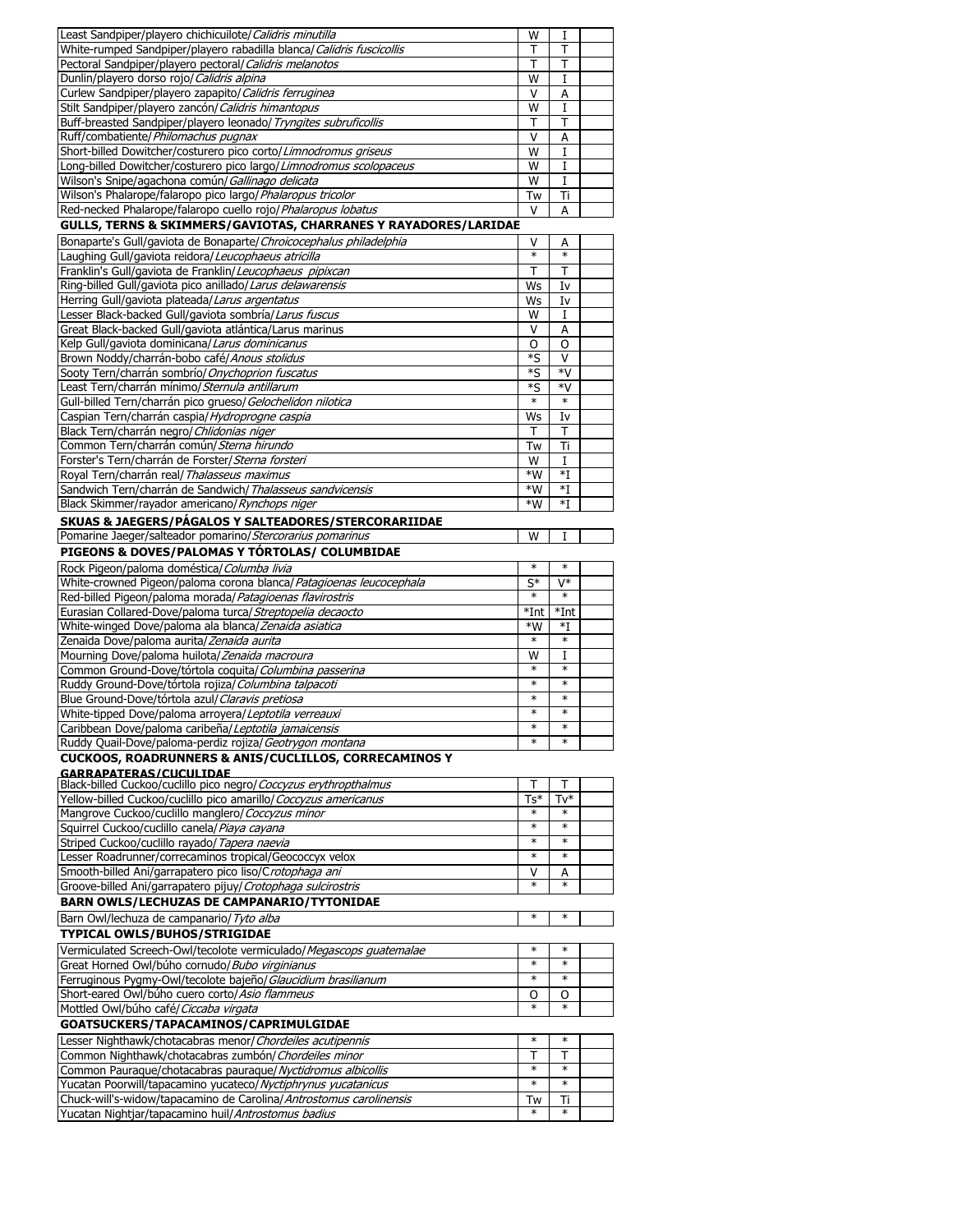| Least Sandpiper/playero chichicuilote/ Calidris minutilla             | W            | 1                |  |
|-----------------------------------------------------------------------|--------------|------------------|--|
| White-rumped Sandpiper/playero rabadilla blanca/ Calidris fuscicollis | Т            | Т                |  |
| Pectoral Sandpiper/playero pectoral/ Calidris melanotos               | Т            | T                |  |
| Dunlin/playero dorso rojo/ Calidris alpina                            | W            | 1                |  |
| Curlew Sandpiper/playero zapapito/ Calidris ferruginea                | $\vee$       | A                |  |
| Stilt Sandpiper/playero zancón/ Calidris himantopus                   | W            | I                |  |
| Buff-breasted Sandpiper/playero leonado/ Tryngites subruficollis      | т            | Т                |  |
| Ruff/combatiente/Philomachus pugnax                                   | V            | A                |  |
| Short-billed Dowitcher/costurero pico corto/Limnodromus griseus       | W            | 1                |  |
| Long-billed Dowitcher/costurero pico largo/Limnodromus scolopaceus    | W            | I                |  |
| Wilson's Snipe/agachona común/ Gallinago delicata                     | W            | 1                |  |
| Wilson's Phalarope/falaropo pico largo/ Phalaropus tricolor           | Tw           | Ti               |  |
| Red-necked Phalarope/falaropo cuello rojo/ Phalaropus lobatus         | v            | Α                |  |
| GULLS, TERNS & SKIMMERS/GAVIOTAS, CHARRANES Y RAYADORES/LARIDAE       |              |                  |  |
| Bonaparte's Gull/gaviota de Bonaparte/Chroicocephalus philadelphia    | ٧            | А                |  |
| Laughing Gull/gaviota reidora/Leucophaeus atricilla                   | $\ast$       | $\ast$           |  |
| Franklin's Gull/gaviota de Franklin/Leucophaeus pipixcan              | т            | т                |  |
| Ring-billed Gull/gaviota pico anillado/Larus delawarensis             | Ws           | I٧               |  |
| Herring Gull/gaviota plateada/Larus argentatus                        | Ws           | I٧               |  |
| Lesser Black-backed Gull/gaviota sombría/Larus fuscus                 | W            | I                |  |
| Great Black-backed Gull/gaviota atlántica/Larus marinus               | v            | А                |  |
| Kelp Gull/gaviota dominicana/Larus dominicanus                        | O            | O                |  |
| Brown Noddy/charrán-bobo café/Anous stolidus                          | *S           | v                |  |
| Sooty Tern/charrán sombrío/ Onychoprion fuscatus                      | *S           | *V               |  |
| Least Tern/charrán mínimo/ Sternula antillarum                        | *S           | *V               |  |
| Gull-billed Tern/charrán pico grueso/ Gelochelidon nilotica           | $\ast$       | $\ast$           |  |
| Caspian Tern/charrán caspia/Hydroprogne caspia                        | Ws           | I٧               |  |
| Black Tern/charrán negro/ Chlidonias niger                            | т            | т                |  |
| Common Tern/charrán común/ Sterna hirundo                             | Tw           | Ti               |  |
| Forster's Tern/charrán de Forster/Sterna forsteri                     | W            | 1                |  |
| Royal Tern/charrán real/ Thalasseus maximus                           | *W           | $*I$             |  |
| Sandwich Tern/charrán de Sandwich/ Thalasseus sandvicensis            | *W           | *I               |  |
| Black Skimmer/rayador americano/ Rynchops niger                       | *W           | $*_{\mathrm{I}}$ |  |
|                                                                       |              |                  |  |
| <b>SKUAS &amp; JAEGERS/PAGALOS Y SALTEADORES/STERCORARIIDAE</b>       |              |                  |  |
| Pomarine Jaeger/salteador pomarino/ Stercorarius pomarinus            | W            | 1                |  |
| PIGEONS & DOVES/PALOMAS Y TÓRTOLAS/ COLUMBIDAE                        |              |                  |  |
|                                                                       |              |                  |  |
| Rock Pigeon/paloma doméstica/Columba livia                            | $\ast$       | $\ast$           |  |
| White-crowned Pigeon/paloma corona blanca/ Patagioenas leucocephala   | S*           | V*               |  |
| Red-billed Pigeon/paloma morada/Patagioenas flavirostris              | $\ast$       | $\ast$           |  |
| Eurasian Collared-Dove/paloma turca/ Streptopelia decaocto            | *Int         | $*Int$           |  |
| White-winged Dove/paloma ala blanca/Zenaida asiatica                  | *W           | *I               |  |
| Zenaida Dove/paloma aurita/Zenaida aurita                             | $\ast$       | $\ast$           |  |
| Mourning Dove/paloma huilota/Zenaida macroura                         | W            | I                |  |
| Common Ground-Dove/tórtola coquita/ Columbina passerina               | $\ast$       | $\ast$           |  |
| Ruddy Ground-Dove/tórtola rojiza/ Columbina talpacoti                 | $\ast$       | $\ast$           |  |
| Blue Ground-Dove/tórtola azul/ Claravis pretiosa                      | $\ast$       | $\ast$           |  |
| White-tipped Dove/paloma arroyera/Leptotila verreauxi                 | $\ast$       | $\ast$           |  |
| Caribbean Dove/paloma caribeña/ Leptotila jamaicensis                 |              |                  |  |
| Ruddy Quail-Dove/paloma-perdiz rojiza/ Geotrygon montana              | $\ast$       | $\ast$           |  |
| <b>CUCKOOS, ROADRUNNERS &amp; ANIS/CUCLILLOS, CORRECAMINOS Y</b>      |              |                  |  |
| <b>GARRAPATERAS/CUCULIDAE</b>                                         |              |                  |  |
| Black-billed Cuckoo/cuclillo pico negro/ Coccyzus erythropthalmus     | Т            | т                |  |
| Yellow-billed Cuckoo/cuclillo pico amarillo/Coccyzus americanus       | $Ts*$        | Tv*              |  |
| Mangrove Cuckoo/cuclillo manglero/ Coccyzus minor                     | $\ast$       |                  |  |
| Squirrel Cuckoo/cuclillo canela/Piaya cayana                          | $\ast$       | $\ast$<br>$\ast$ |  |
| Striped Cuckoo/cuclillo rayado/ Tapera naevia                         |              |                  |  |
| Lesser Roadrunner/correcaminos tropical/Geococcyx velox               | $\ast$       | $\ast$           |  |
| Smooth-billed Ani/garrapatero pico liso/Crotophaga ani                | ٧            | А<br>$\ast$      |  |
| Groove-billed Ani/garrapatero pijuy/ Crotophaga sulcirostris          | $\ast$       |                  |  |
| <b>BARN OWLS/LECHUZAS DE CAMPANARIO/TYTONIDAE</b>                     |              |                  |  |
| Barn Owl/lechuza de campanario/ Tyto alba                             | $\ast$       | $\ast$           |  |
| TYPICAL OWLS/BUHOS/STRIGIDAE                                          |              |                  |  |
| Vermiculated Screech-Owl/tecolote vermiculado/Megascops guatemalae    | ∗            | $\ast$           |  |
| Great Horned Owl/búho cornudo/ Bubo virginianus                       | $\ast$       | $\ast$           |  |
| Ferruginous Pygmy-Owl/tecolote bajeño/ Glaucidium brasilianum         | $\ast$       | $\ast$           |  |
| Short-eared Owl/búho cuero corto/ Asio flammeus                       | O            | O                |  |
| Mottled Owl/búho café/ Ciccaba virgata                                |              |                  |  |
| GOATSUCKERS/TAPACAMINOS/CAPRIMULGIDAE                                 |              |                  |  |
| Lesser Nighthawk/chotacabras menor/ Chordeiles acutipennis            | $\ast$       | $\ast$           |  |
| Common Nighthawk/chotacabras zumbón/ Chordeiles minor                 | т            | т                |  |
| Common Pauraque/chotacabras pauraque/ Nyctidromus albicollis          | $\ast$       | $\ast$           |  |
| Yucatan Poorwill/tapacamino yucateco/ Nyctiphrynus yucatanicus        | $\ast$       | $\ast$           |  |
| Chuck-will's-widow/tapacamino de Carolina/Antrostomus carolinensis    | Tw<br>$\ast$ | Ti<br>$\ast$     |  |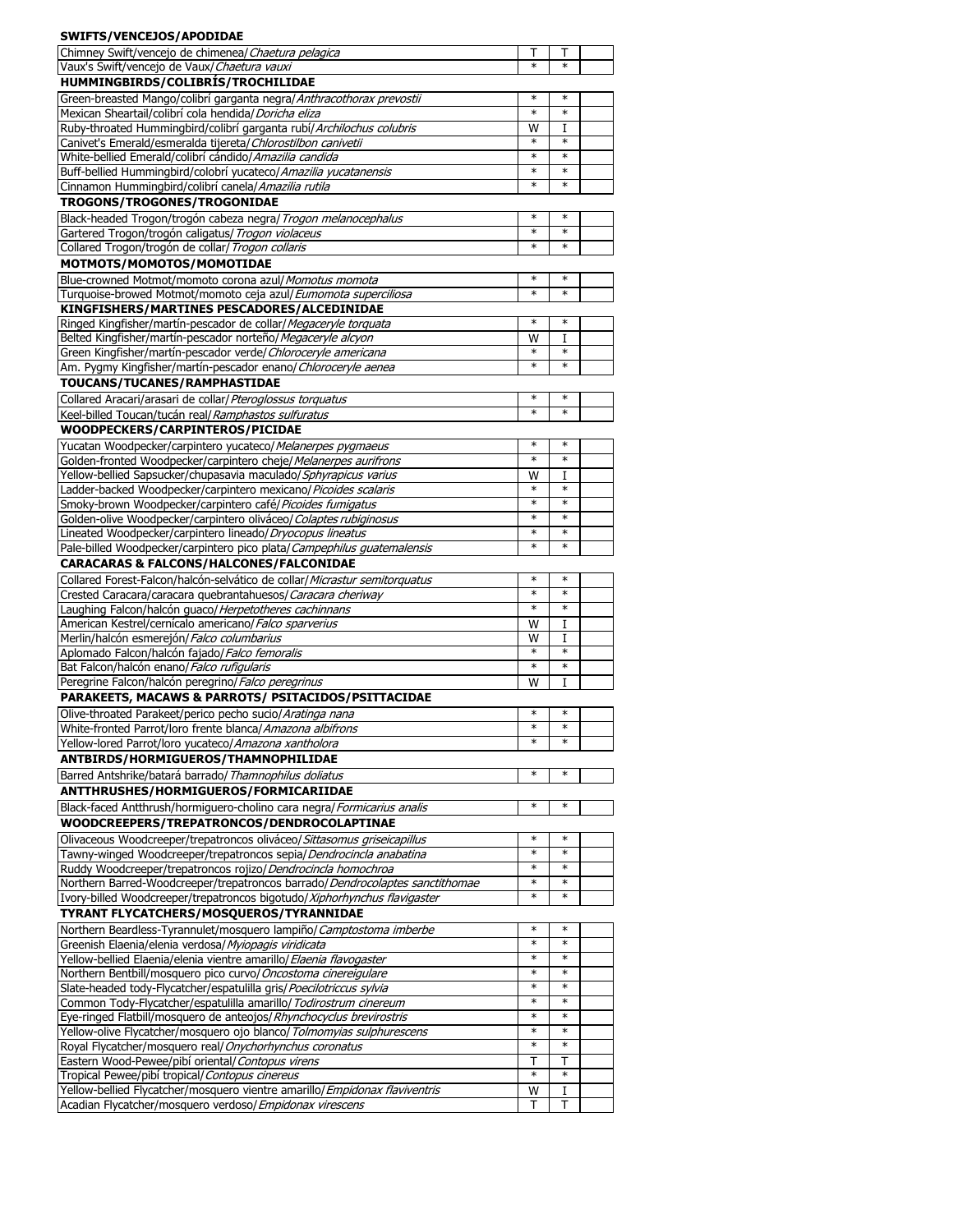| SWIFTS/VENCEJOS/APODIDAE                                                                                                                      |                  |                  |  |
|-----------------------------------------------------------------------------------------------------------------------------------------------|------------------|------------------|--|
| Chimney Swift/vencejo de chimenea/ Chaetura pelagica                                                                                          | т                | т                |  |
| Vaux's Swift/vencejo de Vaux/ Chaetura vauxi                                                                                                  | $\ast$           | $\ast$           |  |
| HUMMINGBIRDS/COLIBRÍS/TROCHILIDAE                                                                                                             |                  |                  |  |
| Green-breasted Mango/colibrí garganta negra/Anthracothorax prevostii<br>Mexican Sheartail/colibrí cola hendida/Doricha eliza                  | $\ast$<br>$\ast$ | $\ast$<br>$\ast$ |  |
| Ruby-throated Hummingbird/colibrí garganta rubí/ Archilochus colubris                                                                         | W                | I                |  |
| Canivet's Emerald/esmeralda tijereta/Chlorostilbon canivetii                                                                                  | $\ast$           | $\ast$           |  |
| White-bellied Emerald/colibrí cándido/Amazilia candida                                                                                        | ∗                | $\ast$           |  |
| Buff-bellied Hummingbird/colobrí yucateco/Amazilia yucatanensis                                                                               | *<br>∗           | $\ast$<br>$\ast$ |  |
| Cinnamon Hummingbird/colibrí canela/Amazilia rutila<br>TROGONS/TROGONES/TROGONIDAE                                                            |                  |                  |  |
| Black-headed Trogon/trogón cabeza negra/ Trogon melanocephalus                                                                                | *                | $\ast$           |  |
| Gartered Trogon/trogón caligatus/ Trogon violaceus                                                                                            | *                | $\ast$           |  |
| Collared Trogon/trogón de collar/ Trogon collaris                                                                                             | *                | $\ast$           |  |
| MOTMOTS/MOMOTOS/MOMOTIDAE                                                                                                                     |                  |                  |  |
| Blue-crowned Motmot/momoto corona azul/Momotus momota                                                                                         | ∗                | $\ast$           |  |
| Turquoise-browed Motmot/momoto ceja azul/Eumomota superciliosa                                                                                | $\ast$           | $\ast$           |  |
| KINGFISHERS/MARTINES PESCADORES/ALCEDINIDAE<br>Ringed Kingfisher/martín-pescador de collar/ Megaceryle torquata                               | *                | $\ast$           |  |
| Belted Kingfisher/martín-pescador norteño/ Megaceryle alcyon                                                                                  | W                | I                |  |
| Green Kingfisher/martín-pescador verde/ Chloroceryle americana                                                                                |                  | $\ast$           |  |
| Am. Pygmy Kingfisher/martín-pescador enano/ Chloroceryle aenea                                                                                | $\ast$           | $\ast$           |  |
| TOUCANS/TUCANES/RAMPHASTIDAE                                                                                                                  |                  |                  |  |
| Collared Aracari/arasari de collar/ Pteroglossus torquatus                                                                                    | $\ast$<br>$\ast$ | $\ast$<br>$\ast$ |  |
| Keel-billed Toucan/tucán real/ Ramphastos sulfuratus<br>WOODPECKERS/CARPINTEROS/PICIDAE                                                       |                  |                  |  |
| Yucatan Woodpecker/carpintero yucateco/Melanerpes pygmaeus                                                                                    | $\ast$           | $\ast$           |  |
| Golden-fronted Woodpecker/carpintero cheje/Melanerpes aurifrons                                                                               | ∗                | $\ast$           |  |
| Yellow-bellied Sapsucker/chupasavia maculado/Sphyrapicus varius                                                                               | W                | I                |  |
| Ladder-backed Woodpecker/carpintero mexicano/ Picoides scalaris                                                                               | $\ast$           | $\ast$           |  |
| Smoky-brown Woodpecker/carpintero café/ Picoides fumigatus                                                                                    | $\ast$           | $\ast$           |  |
| Golden-olive Woodpecker/carpintero oliváceo/ Colaptes rubiginosus<br>Lineated Woodpecker/carpintero lineado/Dryocopus lineatus                | $\ast$<br>∗      | $\ast$<br>$\ast$ |  |
| Pale-billed Woodpecker/carpintero pico plata/ Campephilus guatemalensis                                                                       | $\ast$           | $\ast$           |  |
| <b>CARACARAS &amp; FALCONS/HALCONES/FALCONIDAE</b>                                                                                            |                  |                  |  |
| Collared Forest-Falcon/halcón-selvático de collar/ Micrastur semitorquatus                                                                    | ∗                | $\ast$           |  |
| Crested Caracara/caracara quebrantahuesos/ Caracara cheriway                                                                                  | $\ast$           | $\ast$           |  |
| Laughing Falcon/halcón guaco/ Herpetotheres cachinnans                                                                                        | ∗                | $\ast$           |  |
| American Kestrel/cernícalo americano/ Falco sparverius<br>Merlin/halcón esmerejón/Falco columbarius                                           | W<br>W           | I<br>I           |  |
| Aplomado Falcon/halcón fajado/ Falco femoralis                                                                                                | $\ast$           | $\ast$           |  |
| Bat Falcon/halcón enano/ Falco rufigularis                                                                                                    | $\ast$           | $\ast$           |  |
| Peregrine Falcon/halcón peregrino/ Falco peregrinus                                                                                           | W                | I                |  |
| PARAKEETS, MACAWS & PARROTS/ PSITACIDOS/PSITTACIDAE                                                                                           |                  |                  |  |
| Olive-throated Parakeet/perico pecho sucio/Aratinga nana                                                                                      | $\ast$           | $\ast$           |  |
| White-fronted Parrot/loro frente blanca/Amazona albifrons<br>Yellow-lored Parrot/loro yucateco/ Amazona xantholora                            | ∗                | $\ast$           |  |
| ANTBIRDS/HORMIGUEROS/THAMNOPHILIDAE                                                                                                           |                  |                  |  |
| Barred Antshrike/batará barrado/ Thamnophilus doliatus                                                                                        | $\ast$           | $\ast$           |  |
| ANTTHRUSHES/HORMIGUEROS/FORMICARIIDAE                                                                                                         |                  |                  |  |
| Black-faced Antthrush/hormiguero-cholino cara negra/ Formicarius analis                                                                       | $\ast$           | $\ast$           |  |
| WOODCREEPERS/TREPATRONCOS/DENDROCOLAPTINAE                                                                                                    |                  |                  |  |
| Olivaceous Woodcreeper/trepatroncos oliváceo/ Sittasomus griseicapillus                                                                       | $\ast$           | $\ast$           |  |
| Tawny-winged Woodcreeper/trepatroncos sepia/Dendrocincla anabatina                                                                            | $\ast$<br>$\ast$ | $\ast$<br>$\ast$ |  |
| Ruddy Woodcreeper/trepatroncos rojizo/ Dendrocincla homochroa<br>Northern Barred-Woodcreeper/trepatroncos barrado/Dendrocolaptes sanctithomae | $\ast$           | $\ast$           |  |
| Ivory-billed Woodcreeper/trepatroncos bigotudo/Xiphorhynchus flavigaster                                                                      | $\ast$           | $\ast$           |  |
| TYRANT FLYCATCHERS/MOSQUEROS/TYRANNIDAE                                                                                                       |                  |                  |  |
| Northern Beardless-Tyrannulet/mosquero lampiño/Camptostoma imberbe                                                                            | $\ast$           | $\ast$           |  |
| Greenish Elaenia/elenia verdosa/ Myiopagis viridicata                                                                                         | $\ast$           | $\ast$           |  |
| Yellow-bellied Elaenia/elenia vientre amarillo/ Elaenia flavogaster                                                                           | ∗<br>$\ast$      | $\ast$<br>$\ast$ |  |
| Northern Bentbill/mosquero pico curvo/ Oncostoma cinereigulare<br>Slate-headed tody-Flycatcher/espatulilla gris/Poecilotriccus sylvia         | ∗                | $\ast$           |  |
| Common Tody-Flycatcher/espatulilla amarillo/Todirostrum cinereum                                                                              | $\ast$           | $\ast$           |  |
| Eye-ringed Flatbill/mosquero de anteojos/ Rhynchocyclus brevirostris                                                                          | ∗                | $\ast$           |  |
| Yellow-olive Flycatcher/mosquero ojo blanco/ Tolmomyias sulphurescens                                                                         | $\ast$           | $\ast$           |  |
| Royal Flycatcher/mosquero real/ Onychorhynchus coronatus                                                                                      | $\ast$<br>т      | $\ast$<br>т      |  |
| Eastern Wood-Pewee/pibí oriental/Contopus virens<br>Tropical Pewee/pibí tropical/ Contopus cinereus                                           | $\ast$           | $\ast$           |  |
| Yellow-bellied Flycatcher/mosquero vientre amarillo/ Empidonax flaviventris                                                                   | W                | 1                |  |
| Acadian Flycatcher/mosquero verdoso/ Empidonax virescens                                                                                      | Т                | Τ                |  |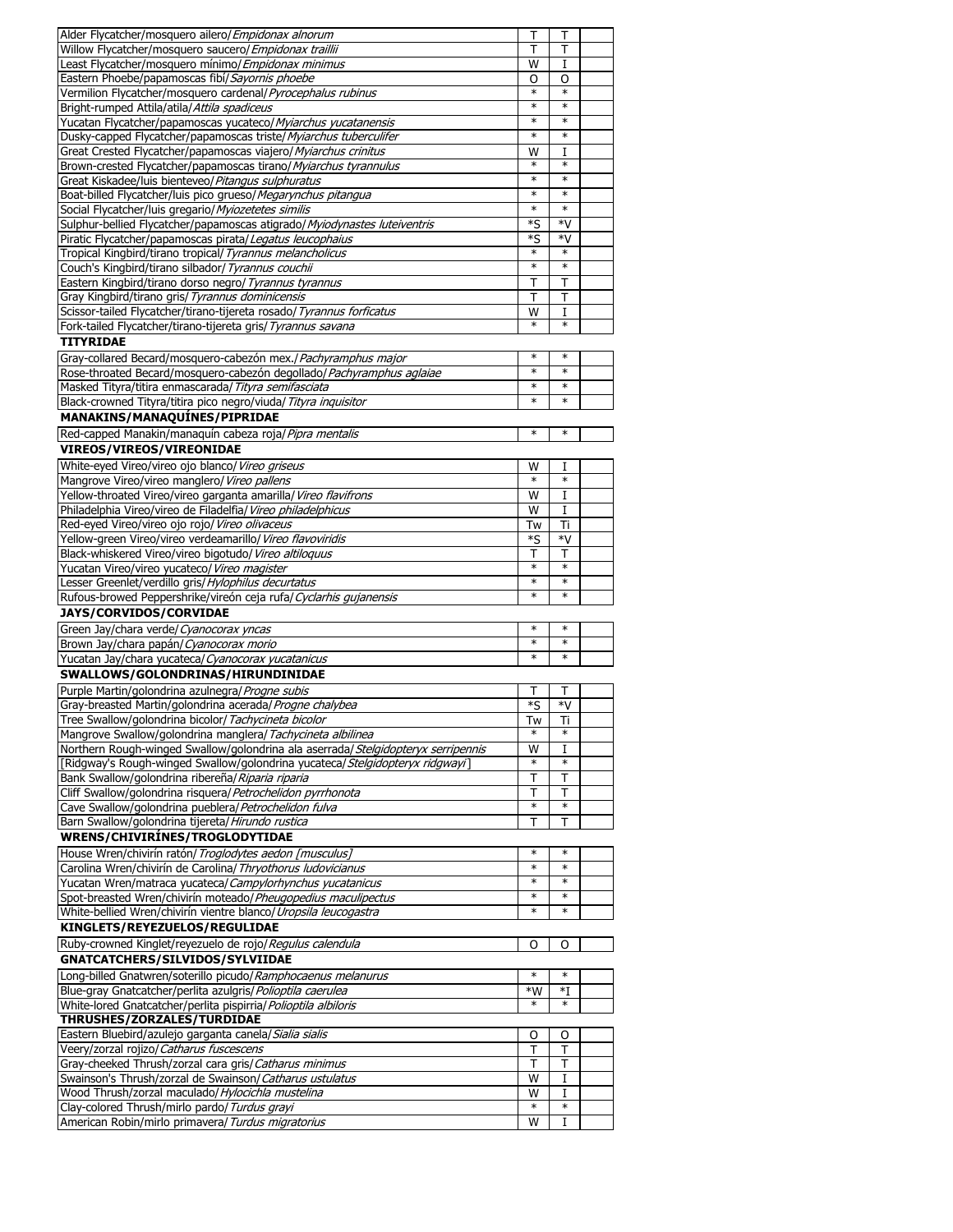| Alder Flycatcher/mosquero ailero/ <i>Empidonax alnorum</i>                                                                                      | Τ              | Τ           |  |
|-------------------------------------------------------------------------------------------------------------------------------------------------|----------------|-------------|--|
| Willow Flycatcher/mosquero saucero/ Empidonax traillii                                                                                          | т              | т           |  |
| Least Flycatcher/mosquero mínimo/ Empidonax minimus                                                                                             | W              | I           |  |
| Eastern Phoebe/papamoscas fibí/ Sayornis phoebe                                                                                                 | O              |             |  |
|                                                                                                                                                 | $\ast$         | O<br>$\ast$ |  |
| Vermilion Flycatcher/mosquero cardenal/ Pyrocephalus rubinus                                                                                    |                |             |  |
| Bright-rumped Attila/atila/Attila spadiceus                                                                                                     | $\ast$         | $\ast$      |  |
| Yucatan Flycatcher/papamoscas yucateco/ Myiarchus yucatanensis                                                                                  | $\ast$         | $\ast$      |  |
| Dusky-capped Flycatcher/papamoscas triste/ Myiarchus tuberculifer                                                                               | $\ast$         | $\ast$      |  |
| Great Crested Flycatcher/papamoscas viajero/ Myiarchus crinitus                                                                                 | W              | I           |  |
| Brown-crested Flycatcher/papamoscas tirano/ Myiarchus tyrannulus                                                                                | ∗              | $\ast$      |  |
|                                                                                                                                                 | $\ast$         | ∗           |  |
| Great Kiskadee/luis bienteveo/ Pitangus sulphuratus                                                                                             |                |             |  |
| Boat-billed Flycatcher/luis pico grueso/ Megarynchus pitangua                                                                                   | $\ast$         | $\ast$      |  |
| Social Flycatcher/luis gregario/ Myiozetetes similis                                                                                            | $\ast$         | $\ast$      |  |
| Sulphur-bellied Flycatcher/papamoscas atigrado/ Myiodynastes luteiventris                                                                       | *S             | *V          |  |
| Piratic Flycatcher/papamoscas pirata/Legatus leucophaius                                                                                        | *S             | *V          |  |
| Tropical Kingbird/tirano tropical/ Tyrannus melancholicus                                                                                       | $\ast$         | $\ast$      |  |
| Couch's Kingbird/tirano silbador/ Tyrannus couchii                                                                                              | $\ast$         | $\ast$      |  |
|                                                                                                                                                 |                |             |  |
| Eastern Kingbird/tirano dorso negro/ Tyrannus tyrannus                                                                                          | т              | т           |  |
| Gray Kingbird/tirano gris/ Tyrannus dominicensis                                                                                                | т              | т           |  |
| Scissor-tailed Flycatcher/tirano-tijereta rosado/ Tyrannus forficatus                                                                           | W              | I           |  |
| Fork-tailed Flycatcher/tirano-tijereta gris/ Tyrannus savana                                                                                    | $\ast$         | $\ast$      |  |
| <b>TITYRIDAE</b>                                                                                                                                |                |             |  |
|                                                                                                                                                 | $\ast$         | $\ast$      |  |
| Gray-collared Becard/mosquero-cabezón mex./ Pachyramphus major                                                                                  |                |             |  |
| Rose-throated Becard/mosquero-cabezón degollado/ Pachyramphus aglaiae                                                                           | $\ast$         | $\ast$      |  |
| Masked Tityra/titira enmascarada/ Tityra semifasciata                                                                                           | $\ast$         | $\ast$      |  |
| Black-crowned Tityra/titira pico negro/viuda/ Tityra inquisitor                                                                                 | $\ast$         | $\ast$      |  |
| MANAKINS/MANAQUÍNES/PIPRIDAE                                                                                                                    |                |             |  |
|                                                                                                                                                 | $\ast$         | $\ast$      |  |
| Red-capped Manakin/managuín cabeza roja/Pipra mentalis                                                                                          |                |             |  |
| VIREOS/VIREOS/VIREONIDAE                                                                                                                        |                |             |  |
| White-eyed Vireo/vireo ojo blanco/ Vireo griseus                                                                                                | W              | I           |  |
| Mangrove Vireo/vireo manglero/ Vireo pallens                                                                                                    | $\ast$         | $\ast$      |  |
| Yellow-throated Vireo/vireo garganta amarilla/ Vireo flavifrons                                                                                 | W              | I           |  |
|                                                                                                                                                 | W              | I           |  |
| Philadelphia Vireo/vireo de Filadelfia/ Vireo philadelphicus                                                                                    |                |             |  |
| Red-eyed Vireo/vireo ojo rojo/ Vireo olivaceus                                                                                                  | Tw             | Ti          |  |
|                                                                                                                                                 |                | *V          |  |
| Yellow-green Vireo/vireo verdeamarillo/ Vireo flavoviridis                                                                                      | *S             |             |  |
| Black-whiskered Vireo/vireo bigotudo/ Vireo altiloquus                                                                                          | Т              | т           |  |
| Yucatan Vireo/vireo yucateco/ Vireo magister                                                                                                    | $\ast$         | $\ast$      |  |
|                                                                                                                                                 | $\ast$         | $\ast$      |  |
| Lesser Greenlet/verdillo gris/ Hylophilus decurtatus                                                                                            | $\ast$         | $\ast$      |  |
| Rufous-browed Peppershrike/vireón ceja rufa/Cyclarhis gujanensis                                                                                |                |             |  |
| JAYS/CORVIDOS/CORVIDAE                                                                                                                          |                |             |  |
| Green Jay/chara verde/ Cyanocorax yncas                                                                                                         | $\ast$         | $\ast$      |  |
| Brown Jay/chara papán/Cyanocorax morio                                                                                                          | $\ast$         | $\ast$      |  |
| Yucatan Jay/chara yucateca/ Cyanocorax yucatanicus                                                                                              | $\ast$         | ∗           |  |
|                                                                                                                                                 |                |             |  |
| SWALLOWS/GOLONDRINAS/HIRUNDINIDAE                                                                                                               |                |             |  |
| Purple Martin/golondrina azulnegra/ Progne subis                                                                                                | т              | Т           |  |
| Gray-breasted Martin/golondrina acerada/ Progne chalybea                                                                                        | *S             | *V          |  |
| Tree Swallow/golondrina bicolor/ Tachycineta bicolor                                                                                            | Tw             | Ti          |  |
|                                                                                                                                                 | *              | $\ast$      |  |
| Mangrove Swallow/golondrina manglera/ Tachycineta albilinea<br>Northern Rough-winged Swallow/golondrina ala aserrada/Stelgidopteryx serripennis | $\overline{W}$ | I           |  |
|                                                                                                                                                 | $\ast$         | ∗           |  |
| [Ridgway's Rough-winged Swallow/golondrina yucateca/ Stelgidopteryx ridgwayi]                                                                   |                |             |  |
| Bank Swallow/golondrina ribereña/ Riparia riparia                                                                                               | т              | Т           |  |
| Cliff Swallow/golondrina risquera/ Petrochelidon pyrrhonota                                                                                     | т              | т           |  |
| Cave Swallow/golondrina pueblera/ Petrochelidon fulva                                                                                           | $\ast$         | $\ast$      |  |
| Barn Swallow/golondrina tijereta/ Hirundo rustica                                                                                               | т              | т           |  |
| WRENS/CHIVIRÍNES/TROGLODYTIDAE                                                                                                                  |                |             |  |
|                                                                                                                                                 | $\ast$         | $\ast$      |  |
| House Wren/chivirín ratón/ Troglodytes aedon [musculus]                                                                                         |                | $\ast$      |  |
| Carolina Wren/chivirín de Carolina/ Thryothorus Iudovicianus                                                                                    | $\ast$         |             |  |
| Yucatan Wren/matraca yucateca/ Campylorhynchus yucatanicus                                                                                      | $\ast$         | $\ast$      |  |
| Spot-breasted Wren/chivirín moteado/ Pheugopedius maculipectus                                                                                  | $\ast$         | $\ast$      |  |
| White-bellied Wren/chivirín vientre blanco/ Uropsila leucogastra                                                                                | *              | *           |  |
| KINGLETS/REYEZUELOS/REGULIDAE                                                                                                                   |                |             |  |
|                                                                                                                                                 |                |             |  |
| Ruby-crowned Kinglet/reyezuelo de rojo/ Regulus calendula                                                                                       | O              | O           |  |
| GNATCATCHERS/SILVIDOS/SYLVIIDAE                                                                                                                 |                |             |  |
| Long-billed Gnatwren/soterillo picudo/ Ramphocaenus melanurus                                                                                   | $\ast$         | $\ast$      |  |
| Blue-gray Gnatcatcher/perlita azulgris/Polioptila caerulea                                                                                      | *W             | $*I$        |  |
| White-lored Gnatcatcher/perlita pispirria/ Polioptila albiloris                                                                                 | $\ast$         | $\ast$      |  |
| THRUSHES/ZORZALES/TURDIDAE                                                                                                                      |                |             |  |
|                                                                                                                                                 |                |             |  |
| Eastern Bluebird/azulejo garganta canela/ Sialia sialis                                                                                         | O              | O           |  |
| Veery/zorzal rojizo/ Catharus fuscescens                                                                                                        | Т              | Т           |  |
| Gray-cheeked Thrush/zorzal cara gris/ Catharus minimus                                                                                          | т              | Τ           |  |
| Swainson's Thrush/zorzal de Swainson/ Catharus ustulatus                                                                                        | W              | 1           |  |
| Wood Thrush/zorzal maculado/ Hylocichla mustelina                                                                                               | W              | I           |  |
| Clay-colored Thrush/mirlo pardo/ Turdus grayi<br>American Robin/mirlo primavera/ Turdus migratorius                                             | $\ast$<br>W    | $\ast$<br>I |  |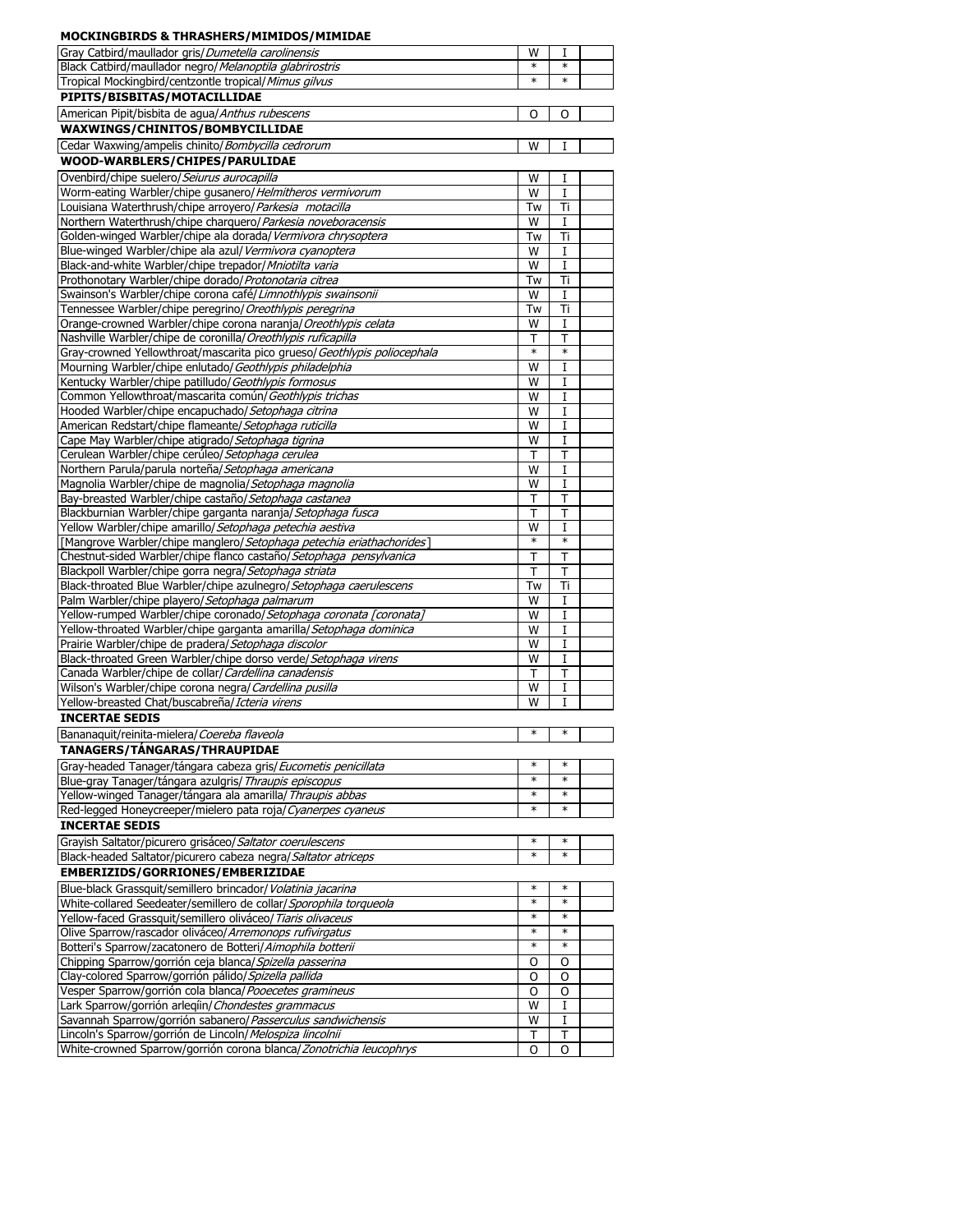| <b>MOCKINGBIRDS &amp; THRASHERS/MIMIDOS/MIMIDAE</b>                                                                                        |                  |                  |  |
|--------------------------------------------------------------------------------------------------------------------------------------------|------------------|------------------|--|
| Gray Catbird/maullador gris/Dumetella carolinensis                                                                                         | W                | Т                |  |
| Black Catbird/maullador negro/ Melanoptila glabrirostris                                                                                   | ∗                | $\ast$           |  |
| Tropical Mockingbird/centzontle tropical/ Mimus gilvus                                                                                     | *                | $\ast$           |  |
| PIPITS/BISBITAS/MOTACILLIDAE                                                                                                               |                  |                  |  |
| American Pipit/bisbita de agua/ Anthus rubescens                                                                                           | O                | O                |  |
| WAXWINGS/CHINITOS/BOMBYCILLIDAE                                                                                                            |                  |                  |  |
| Cedar Waxwing/ampelis chinito/ Bombycilla cedrorum                                                                                         | W                | I                |  |
| WOOD-WARBLERS/CHIPES/PARULIDAE                                                                                                             |                  |                  |  |
| Ovenbird/chipe suelero/Seiurus aurocapilla                                                                                                 | W                | 1                |  |
| Worm-eating Warbler/chipe gusanero/Helmitheros vermivorum                                                                                  | W                | I                |  |
| Louisiana Waterthrush/chipe arroyero/ Parkesia motacilla                                                                                   | Tw               | Ti               |  |
| Northern Waterthrush/chipe charguero/Parkesia noveboracensis<br>Golden-winged Warbler/chipe ala dorada/ Vermivora chrysoptera              | W<br>Tw          | I<br>Τi          |  |
| Blue-winged Warbler/chipe ala azul/ Vermivora cyanoptera                                                                                   | W                | I                |  |
| Black-and-white Warbler/chipe trepador/ Mniotilta varia                                                                                    | W                | I                |  |
| Prothonotary Warbler/chipe dorado/ Protonotaria citrea                                                                                     | Tw               | Ti               |  |
| Swainson's Warbler/chipe corona café/Limnothlypis swainsonii                                                                               | W                | I                |  |
| Tennessee Warbler/chipe peregrino/ Oreothlypis peregrina                                                                                   | Tw               | Ti               |  |
| Orange-crowned Warbler/chipe corona naranja/ Oreothlypis celata                                                                            | W                | I                |  |
| Nashville Warbler/chipe de coronilla/ Oreothlypis ruficapilla                                                                              | т                | т                |  |
| Gray-crowned Yellowthroat/mascarita pico grueso/ Geothlypis poliocephala                                                                   | $\ast$           | $\ast$           |  |
| Mourning Warbler/chipe enlutado/ Geothlypis philadelphia                                                                                   | W                | 1                |  |
| Kentucky Warbler/chipe patilludo/ Geothlypis formosus<br>Common Yellowthroat/mascarita común/ Geothlypis trichas                           | W<br>W           | 1<br>I           |  |
| Hooded Warbler/chipe encapuchado/ Setophaga citrina                                                                                        | W                | 1                |  |
| American Redstart/chipe flameante/ Setophaga ruticilla                                                                                     | W                | I                |  |
| Cape May Warbler/chipe atigrado/Setophaga tigrina                                                                                          | W                | I                |  |
| Cerulean Warbler/chipe cerúleo/ Setophaga cerulea                                                                                          | Т                | т                |  |
| Northern Parula/parula norteña/ Setophaga americana                                                                                        | W                | 1                |  |
| Magnolia Warbler/chipe de magnolia/Setophaga magnolia                                                                                      | W                | I                |  |
| Bay-breasted Warbler/chipe castaño/ Setophaga castanea                                                                                     | Т                | T                |  |
| Blackburnian Warbler/chipe garganta naranja/Setophaga fusca<br>Yellow Warbler/chipe amarillo/ Setophaga petechia aestiva                   | Т<br>W           | т<br>I           |  |
| [Mangrove Warbler/chipe manglero/Setophaga petechia eriathachorides]                                                                       | ∗                | $\ast$           |  |
| Chestnut-sided Warbler/chipe flanco castaño/ Setophaga pensylvanica                                                                        | т                | Т                |  |
| Blackpoll Warbler/chipe gorra negra/ Setophaga striata                                                                                     | т                | Т                |  |
| Black-throated Blue Warbler/chipe azulnegro/ Setophaga caerulescens                                                                        | Tw               | Ti               |  |
| Palm Warbler/chipe playero/ Setophaga palmarum                                                                                             | W                | 1                |  |
| Yellow-rumped Warbler/chipe coronado/ Setophaga coronata [coronata]<br>Yellow-throated Warbler/chipe garganta amarilla/ Setophaga dominica | W<br>W           | I<br>I           |  |
| Prairie Warbler/chipe de pradera/Setophaga discolor                                                                                        | W                | I                |  |
| Black-throated Green Warbler/chipe dorso verde/ Setophaga virens                                                                           | W                | I                |  |
| Canada Warbler/chipe de collar/ Cardellina canadensis                                                                                      | Т                | Т                |  |
| Wilson's Warbler/chipe corona negra/ Cardellina pusilla                                                                                    | W                | I                |  |
| Yellow-breasted Chat/buscabreña/ Icteria virens                                                                                            | W                | 1                |  |
| <b>INCERTAE SEDIS</b>                                                                                                                      |                  |                  |  |
| Bananaquit/reinita-mielera/Coereba flaveola                                                                                                | $\ast$           | $\ast$           |  |
| TANAGERS/TÁNGARAS/THRAUPIDAE                                                                                                               |                  |                  |  |
| Gray-headed Tanager/tángara cabeza gris/Eucometis penicillata                                                                              | $\ast$<br>$\ast$ | $\ast$           |  |
| Blue-gray Tanager/tángara azulgris/ Thraupis episcopus<br>Yellow-winged Tanager/tángara ala amarilla/ Thraupis abbas                       | $\ast$           | $\ast$           |  |
| Red-legged Honeycreeper/mielero pata roja/Cyanerpes cyaneus                                                                                | ∗                | $\ast$           |  |
| <b>INCERTAE SEDIS</b>                                                                                                                      |                  |                  |  |
| Grayish Saltator/picurero grisáceo/Saltator coerulescens                                                                                   | ∗                | $\ast$           |  |
| Black-headed Saltator/picurero cabeza negra/Saltator atriceps                                                                              | *                | $\ast$           |  |
| EMBERIZIDS/GORRIONES/EMBERIZIDAE                                                                                                           |                  |                  |  |
| Blue-black Grassquit/semillero brincador/ Volatinia jacarina                                                                               | ∗                | $\ast$           |  |
| White-collared Seedeater/semillero de collar/Sporophila torqueola                                                                          | ∗                | $\ast$           |  |
| Yellow-faced Grassquit/semillero oliváceo/ Tiaris olivaceus                                                                                | *                | $\ast$           |  |
| Olive Sparrow/rascador oliváceo/ Arremonops rufivirgatus                                                                                   | $\ast$<br>*      | $\ast$<br>$\ast$ |  |
| Botteri's Sparrow/zacatonero de Botteri/Aimophila botterii<br>Chipping Sparrow/gorrión ceja blanca/ Spizella passerina                     | O                | 0                |  |
| Clay-colored Sparrow/gorrión pálido/ Spizella pallida                                                                                      | O                | O                |  |
| Vesper Sparrow/gorrión cola blanca/Pooecetes gramineus                                                                                     | O                | O                |  |
| Lark Sparrow/gorrión arlegíin/ Chondestes grammacus                                                                                        | W                | I                |  |
| Savannah Sparrow/gorrión sabanero/ Passerculus sandwichensis                                                                               | W                | 1                |  |
| Lincoln's Sparrow/gorrión de Lincoln/ Melospiza lincolnii                                                                                  | Τ                | т                |  |
| White-crowned Sparrow/gorrión corona blanca/Zonotrichia leucophrys                                                                         | O                | O                |  |